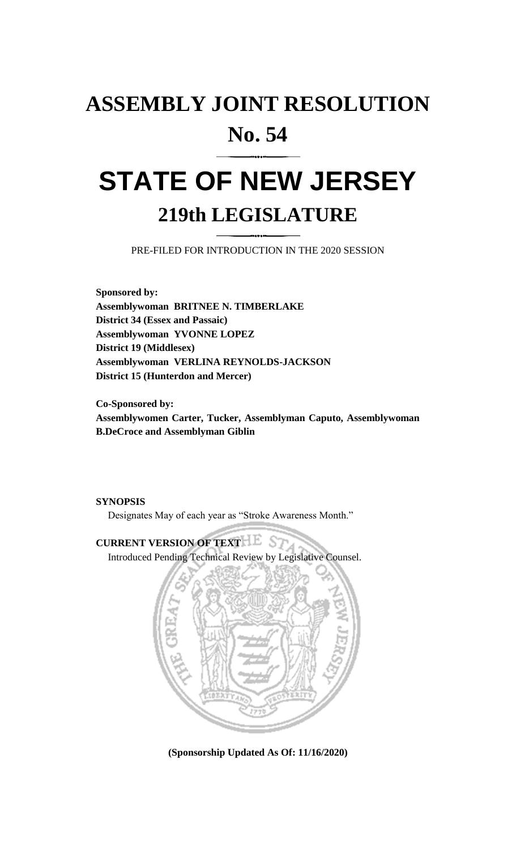## **ASSEMBLY JOINT RESOLUTION No. 54**

# **STATE OF NEW JERSEY 219th LEGISLATURE**

PRE-FILED FOR INTRODUCTION IN THE 2020 SESSION

**Sponsored by: Assemblywoman BRITNEE N. TIMBERLAKE District 34 (Essex and Passaic) Assemblywoman YVONNE LOPEZ District 19 (Middlesex) Assemblywoman VERLINA REYNOLDS-JACKSON District 15 (Hunterdon and Mercer)**

**Co-Sponsored by: Assemblywomen Carter, Tucker, Assemblyman Caputo, Assemblywoman B.DeCroce and Assemblyman Giblin**

#### **SYNOPSIS**

Designates May of each year as "Stroke Awareness Month."

### **CURRENT VERSION OF TEXT BEST**

Introduced Pending Technical Review by Legislative Counsel.



**(Sponsorship Updated As Of: 11/16/2020)**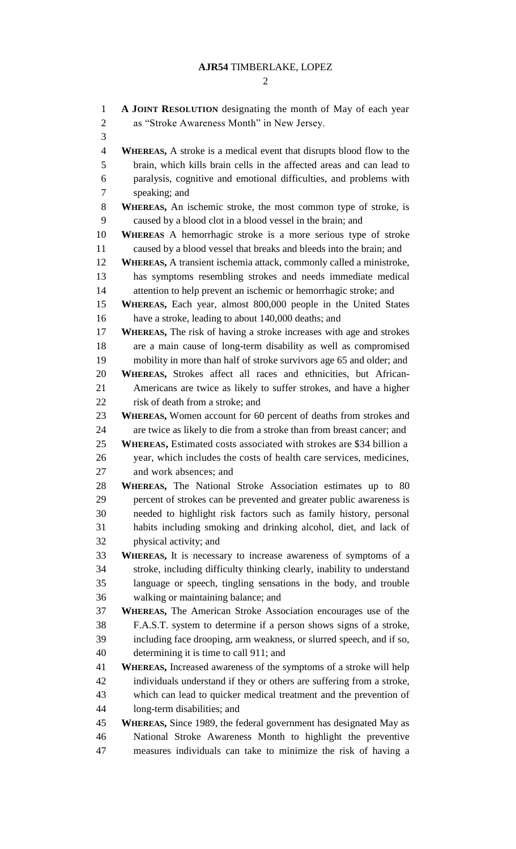## **AJR54** TIMBERLAKE, LOPEZ

| $\mathbf{1}$   | A JOINT RESOLUTION designating the month of May of each year                |
|----------------|-----------------------------------------------------------------------------|
| $\mathbf{2}$   | as "Stroke Awareness Month" in New Jersey.                                  |
| 3              |                                                                             |
| $\overline{4}$ | <b>WHEREAS,</b> A stroke is a medical event that disrupts blood flow to the |
| 5              | brain, which kills brain cells in the affected areas and can lead to        |
| 6              | paralysis, cognitive and emotional difficulties, and problems with          |
| $\overline{7}$ | speaking; and                                                               |
| 8              | WHEREAS, An ischemic stroke, the most common type of stroke, is             |
| 9              | caused by a blood clot in a blood vessel in the brain; and                  |
| 10             | <b>WHEREAS</b> A hemorrhagic stroke is a more serious type of stroke        |
| 11             | caused by a blood vessel that breaks and bleeds into the brain; and         |
| 12             | WHEREAS, A transient ischemia attack, commonly called a ministroke,         |
| 13             | has symptoms resembling strokes and needs immediate medical                 |
| 14             | attention to help prevent an ischemic or hemorrhagic stroke; and            |
| 15             | <b>WHEREAS,</b> Each year, almost 800,000 people in the United States       |
| 16             | have a stroke, leading to about 140,000 deaths; and                         |
| 17             | <b>WHEREAS,</b> The risk of having a stroke increases with age and strokes  |
| 18             | are a main cause of long-term disability as well as compromised             |
| 19             | mobility in more than half of stroke survivors age 65 and older; and        |
| 20             | WHEREAS, Strokes affect all races and ethnicities, but African-             |
| 21             | Americans are twice as likely to suffer strokes, and have a higher          |
| 22             | risk of death from a stroke; and                                            |
| 23             | <b>WHEREAS,</b> Women account for 60 percent of deaths from strokes and     |
| 24             | are twice as likely to die from a stroke than from breast cancer; and       |
| 25             | <b>WHEREAS, Estimated costs associated with strokes are \$34 billion a</b>  |
| 26             | year, which includes the costs of health care services, medicines,          |
| 27             | and work absences; and                                                      |
| 28             | WHEREAS, The National Stroke Association estimates up to 80                 |
| 29             | percent of strokes can be prevented and greater public awareness is         |
| 30             | needed to highlight risk factors such as family history, personal           |
| 31             | habits including smoking and drinking alcohol, diet, and lack of            |
| 32             | physical activity; and                                                      |
| 33             | <b>WHEREAS</b> , It is necessary to increase awareness of symptoms of a     |
| 34             | stroke, including difficulty thinking clearly, inability to understand      |
| 35             | language or speech, tingling sensations in the body, and trouble            |
| 36             | walking or maintaining balance; and                                         |
| 37             | WHEREAS, The American Stroke Association encourages use of the              |
| 38             | F.A.S.T. system to determine if a person shows signs of a stroke,           |
| 39             | including face drooping, arm weakness, or slurred speech, and if so,        |
| 40             | determining it is time to call 911; and                                     |
| 41             | <b>WHEREAS, Increased awareness of the symptoms of a stroke will help</b>   |
| 42             | individuals understand if they or others are suffering from a stroke,       |
| 43             | which can lead to quicker medical treatment and the prevention of           |
| 44             | long-term disabilities; and                                                 |
| 45             | <b>WHEREAS, Since 1989, the federal government has designated May as</b>    |
| 46             | National Stroke Awareness Month to highlight the preventive                 |
| 47             | measures individuals can take to minimize the risk of having a              |
|                |                                                                             |